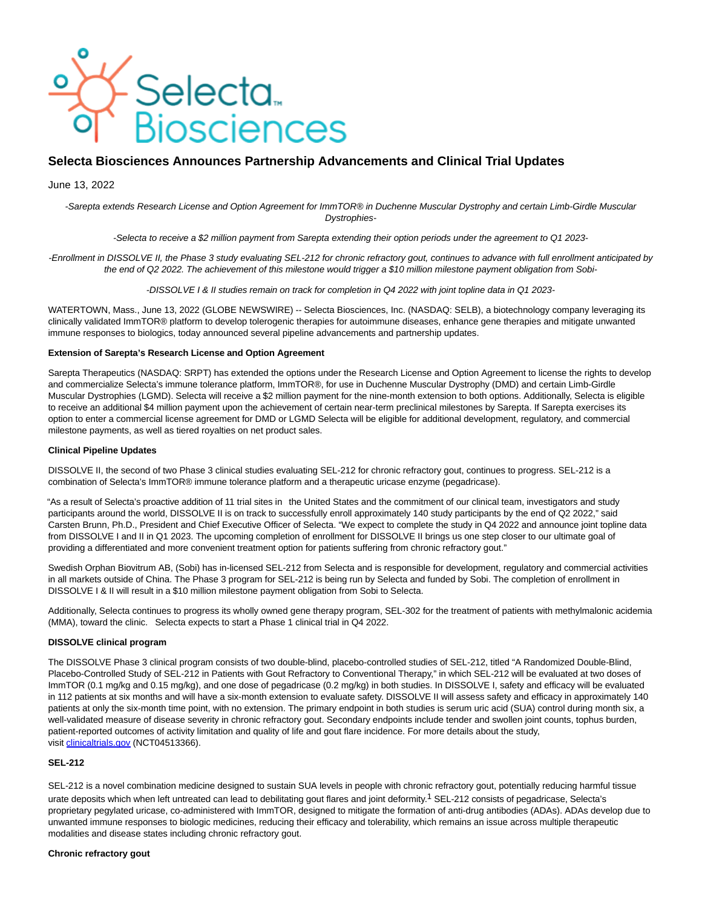

# **Selecta Biosciences Announces Partnership Advancements and Clinical Trial Updates**

# June 13, 2022

-Sarepta extends Research License and Option Agreement for ImmTOR® in Duchenne Muscular Dystrophy and certain Limb-Girdle Muscular Dystrophies-

-Selecta to receive a \$2 million payment from Sarepta extending their option periods under the agreement to Q1 2023-

-Enrollment in DISSOLVE II, the Phase 3 study evaluating SEL-212 for chronic refractory gout, continues to advance with full enrollment anticipated by the end of Q2 2022. The achievement of this milestone would trigger a \$10 million milestone payment obligation from Sobi-

-DISSOLVE I & II studies remain on track for completion in Q4 2022 with joint topline data in Q1 2023-

WATERTOWN, Mass., June 13, 2022 (GLOBE NEWSWIRE) -- Selecta Biosciences, Inc. (NASDAQ: SELB), a biotechnology company leveraging its clinically validated ImmTOR® platform to develop tolerogenic therapies for autoimmune diseases, enhance gene therapies and mitigate unwanted immune responses to biologics, today announced several pipeline advancements and partnership updates.

# **Extension of Sarepta's Research License and Option Agreement**

Sarepta Therapeutics (NASDAQ: SRPT) has extended the options under the Research License and Option Agreement to license the rights to develop and commercialize Selecta's immune tolerance platform, ImmTOR®, for use in Duchenne Muscular Dystrophy (DMD) and certain Limb-Girdle Muscular Dystrophies (LGMD). Selecta will receive a \$2 million payment for the nine-month extension to both options. Additionally, Selecta is eligible to receive an additional \$4 million payment upon the achievement of certain near-term preclinical milestones by Sarepta. If Sarepta exercises its option to enter a commercial license agreement for DMD or LGMD Selecta will be eligible for additional development, regulatory, and commercial milestone payments, as well as tiered royalties on net product sales.

#### **Clinical Pipeline Updates**

DISSOLVE II, the second of two Phase 3 clinical studies evaluating SEL-212 for chronic refractory gout, continues to progress. SEL-212 is a combination of Selecta's ImmTOR® immune tolerance platform and a therapeutic uricase enzyme (pegadricase).

"As a result of Selecta's proactive addition of 11 trial sites in the United States and the commitment of our clinical team, investigators and study participants around the world, DISSOLVE II is on track to successfully enroll approximately 140 study participants by the end of Q2 2022," said Carsten Brunn, Ph.D., President and Chief Executive Officer of Selecta. "We expect to complete the study in Q4 2022 and announce joint topline data from DISSOLVE I and II in Q1 2023. The upcoming completion of enrollment for DISSOLVE II brings us one step closer to our ultimate goal of providing a differentiated and more convenient treatment option for patients suffering from chronic refractory gout."

Swedish Orphan Biovitrum AB, (Sobi) has in-licensed SEL-212 from Selecta and is responsible for development, regulatory and commercial activities in all markets outside of China. The Phase 3 program for SEL-212 is being run by Selecta and funded by Sobi. The completion of enrollment in DISSOLVE I & II will result in a \$10 million milestone payment obligation from Sobi to Selecta.

Additionally, Selecta continues to progress its wholly owned gene therapy program, SEL-302 for the treatment of patients with methylmalonic acidemia (MMA), toward the clinic. Selecta expects to start a Phase 1 clinical trial in Q4 2022.

## **DISSOLVE clinical program**

The DISSOLVE Phase 3 clinical program consists of two double-blind, placebo-controlled studies of SEL-212, titled "A Randomized Double-Blind, Placebo-Controlled Study of SEL-212 in Patients with Gout Refractory to Conventional Therapy," in which SEL-212 will be evaluated at two doses of ImmTOR (0.1 mg/kg and 0.15 mg/kg), and one dose of pegadricase (0.2 mg/kg) in both studies. In DISSOLVE I, safety and efficacy will be evaluated in 112 patients at six months and will have a six-month extension to evaluate safety. DISSOLVE II will assess safety and efficacy in approximately 140 patients at only the six-month time point, with no extension. The primary endpoint in both studies is serum uric acid (SUA) control during month six, a well-validated measure of disease severity in chronic refractory gout. Secondary endpoints include tender and swollen joint counts, tophus burden, patient-reported outcomes of activity limitation and quality of life and gout flare incidence. For more details about the study, visit [clinicaltrials.gov \(](https://www.globenewswire.com/Tracker?data=zgVZkDulxq6u7Tj4uW-RNj2wO_fkT6tfU_lYwSzN53LCW2DKBZz5VS5DiipZA6LJ_ZQ81DqSS4tIurw2qmTiPrb4GtxorLl8ajq-GDRu5BbOzezhfykvKTc8wig0qwMKoZiKA_9IkA9f1LP9h1gYh0lrN5bXqi04IO_RTxWRc5WoSYd1ft6buTkzk-Ms0eGpzHfDEKKMS33WaY32KhKCHhr1sWKB7BWylpGrLM5q_RqH-wffsuKIfBP8RWJsrZDQZoAcpCSv_x2AcLfAPCMAZ7CF1eqFSUGQjy2cfVPA-Ds=)NCT04513366).

# **SEL-212**

SEL-212 is a novel combination medicine designed to sustain SUA levels in people with chronic refractory gout, potentially reducing harmful tissue urate deposits which when left untreated can lead to debilitating gout flares and joint deformity.<sup>1</sup> SEL-212 consists of pegadricase, Selecta's proprietary pegylated uricase, co-administered with ImmTOR, designed to mitigate the formation of anti-drug antibodies (ADAs). ADAs develop due to unwanted immune responses to biologic medicines, reducing their efficacy and tolerability, which remains an issue across multiple therapeutic modalities and disease states including chronic refractory gout.

#### **Chronic refractory gout**